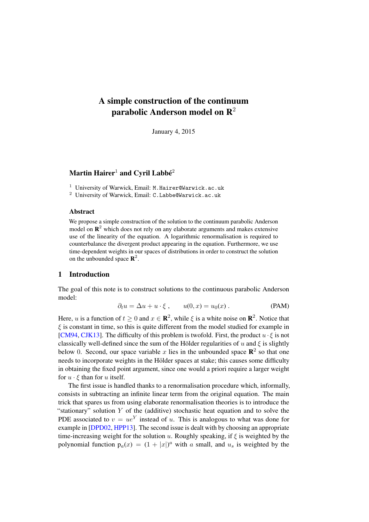# A simple construction of the continuum parabolic Anderson model on  $\mathbb{R}^2$

January 4, 2015

# Martin Hairer $^1$  and Cyril Labbé $^2$

<sup>1</sup> University of Warwick, Email: M.Hairer@Warwick.ac.uk

<sup>2</sup> University of Warwick, Email: C.Labbe@Warwick.ac.uk

#### Abstract

We propose a simple construction of the solution to the continuum parabolic Anderson model on  $\mathbb{R}^2$  which does not rely on any elaborate arguments and makes extensive use of the linearity of the equation. A logarithmic renormalisation is required to counterbalance the divergent product appearing in the equation. Furthermore, we use time-dependent weights in our spaces of distributions in order to construct the solution on the unbounded space  $\mathbb{R}^2$ .

# <span id="page-0-0"></span>1 Introduction

The goal of this note is to construct solutions to the continuous parabolic Anderson model:

$$
\partial_t u = \Delta u + u \cdot \xi, \qquad u(0, x) = u_0(x) . \tag{PAM}
$$

Here, u is a function of  $t \geq 0$  and  $x \in \mathbb{R}^2$ , while  $\xi$  is a white noise on  $\mathbb{R}^2$ . Notice that  $\xi$  is constant in time, so this is quite different from the model studied for example in [\[CM94,](#page-11-0) [CJK13\]](#page-11-1). The difficulty of this problem is twofold. First, the product  $u \cdot \xi$  is not classically well-defined since the sum of the Hölder regularities of  $u$  and  $\xi$  is slightly below 0. Second, our space variable x lies in the unbounded space  $\mathbb{R}^2$  so that one needs to incorporate weights in the Hölder spaces at stake; this causes some difficulty in obtaining the fixed point argument, since one would a priori require a larger weight for  $u \cdot \xi$  than for u itself.

The first issue is handled thanks to a renormalisation procedure which, informally, consists in subtracting an infinite linear term from the original equation. The main trick that spares us from using elaborate renormalisation theories is to introduce the "stationary" solution  $Y$  of the (additive) stochastic heat equation and to solve the PDE associated to  $v = ue^Y$  instead of u. This is analogous to what was done for example in [\[DPD02,](#page-11-2) [HPP13\]](#page-11-3). The second issue is dealt with by choosing an appropriate time-increasing weight for the solution u. Roughly speaking, if  $\xi$  is weighted by the polynomial function  $p_a(x) = (1 + |x|)^a$  with a small, and  $u_s$  is weighted by the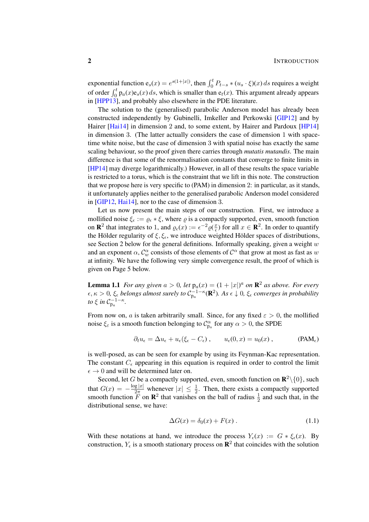exponential function  $e_s(x) = e^{s(1+|x|)}$ , then  $\int_0^t P_{t-s} * (u_s \cdot \xi)(x) ds$  requires a weight of order  $\int_0^t p_a(x)e_s(x) ds$ , which is smaller than  $e_t(x)$ . This argument already appears in [\[HPP13\]](#page-11-3), and probably also elsewhere in the PDE literature.

The solution to the (generalised) parabolic Anderson model has already been constructed independently by Gubinelli, Imkeller and Perkowski [\[GIP12\]](#page-11-4) and by Hairer [\[Hai14\]](#page-11-5) in dimension 2 and, to some extent, by Hairer and Pardoux [\[HP14\]](#page-11-6) in dimension 3. (The latter actually considers the case of dimension 1 with spacetime white noise, but the case of dimension 3 with spatial noise has exactly the same scaling behaviour, so the proof given there carries through *mutatis mutandis*. The main difference is that some of the renormalisation constants that converge to finite limits in [\[HP14\]](#page-11-6) may diverge logarithmically.) However, in all of these results the space variable is restricted to a torus, which is the constraint that we lift in this note. The construction that we propose here is very specific to [\(PAM\)](#page-0-0) in dimension 2: in particular, as it stands, it unfortunately applies neither to the generalised parabolic Anderson model considered in [\[GIP12,](#page-11-4) [Hai14\]](#page-11-5), nor to the case of dimension 3.

Let us now present the main steps of our construction. First, we introduce a mollified noise  $\xi_{\epsilon} := \varrho_{\epsilon} * \xi$ , where  $\varrho$  is a compactly supported, even, smooth function on **R**<sup>2</sup> that integrates to 1, and  $\varrho_{\epsilon}(x) := \epsilon^{-2} \varrho(\frac{x}{\epsilon})$  $\frac{x}{\epsilon}$ ) for all  $x \in \mathbb{R}^2$ . In order to quantify the Hölder regularity of  $\xi, \xi_{\epsilon}$ , we introduce weighted Hölder spaces of distributions, see Section [2](#page-3-0) below for the general definitions. Informally speaking, given a weight  $w$ and an exponent  $\alpha$ ,  $\mathcal{C}^{\alpha}_w$  consists of those elements of  $\mathcal{C}^{\alpha}$  that grow at most as fast as w at infinity. We have the following very simple convergence result, the proof of which is given on Page [5](#page-4-0) below.

<span id="page-1-0"></span>**Lemma 1.1** *For any given*  $a > 0$ , *let*  $p_a(x) = (1 + |x|)^a$  *on*  $\mathbb{R}^2$  *as above. For every*  $\epsilon, \kappa > 0$ ,  $\xi_{\epsilon}$  belongs almost surely to  $C_{p_a}^{-1-\kappa}$  ( $\mathbb{R}^2$ ). As  $\epsilon \downarrow 0$ ,  $\xi_{\epsilon}$  converges in probability *to*  $\xi$  *in*  $C_{\mathbf{p}_a}^{-1-\kappa}$ .

From now on, a is taken arbitrarily small. Since, for any fixed  $\varepsilon > 0$ , the mollified noise  $\xi_{\varepsilon}$  is a smooth function belonging to  $\mathcal{C}_{p_{\alpha}}^{\alpha}$  for any  $\alpha > 0$ , the SPDE

$$
\partial_t u_{\epsilon} = \Delta u_{\epsilon} + u_{\epsilon} (\xi_{\epsilon} - C_{\epsilon}), \qquad u_{\epsilon}(0, x) = u_0(x), \qquad (PAM_{\epsilon})
$$

is well-posed, as can be seen for example by using its Feynman-Kac representation. The constant  $C_{\epsilon}$  appearing in this equation is required in order to control the limit  $\epsilon \rightarrow 0$  and will be determined later on.

Second, let G be a compactly supported, even, smooth function on  $\mathbb{R}^2 \setminus \{0\}$ , such that  $G(x) = -\frac{\log|x|}{2\pi}$  whenever  $|x| \leq \frac{1}{2}$ . Then, there exists a compactly supported smooth function  $\overline{F}$  on  $\mathbb{R}^2$  that vanishes on the ball of radius  $\frac{1}{2}$  and such that, in the distributional sense, we have:

$$
\Delta G(x) = \delta_0(x) + F(x) \,. \tag{1.1}
$$

With these notations at hand, we introduce the process  $Y_{\epsilon}(x) := G * \xi_{\epsilon}(x)$ . By construction,  $Y_{\epsilon}$  is a smooth stationary process on  $\mathbb{R}^{2}$  that coincides with the solution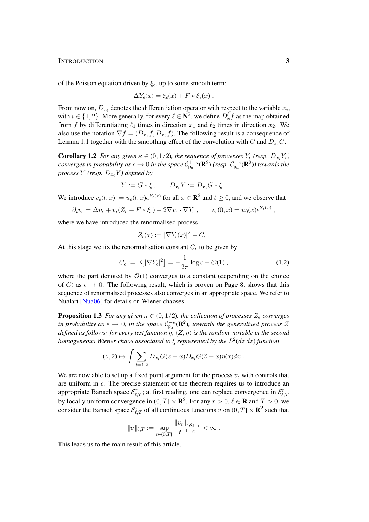INTRODUCTION 3

of the Poisson equation driven by  $\xi_{\epsilon}$ , up to some smooth term:

$$
\Delta Y_{\epsilon}(x) = \xi_{\epsilon}(x) + F * \xi_{\epsilon}(x) .
$$

From now on,  $D_{x_i}$  denotes the differentiation operator with respect to the variable  $x_i$ , with  $i \in \{1, 2\}$ . More generally, for every  $\ell \in \mathbb{N}^2$ , we define  $D_x^{\ell} f$  as the map obtained from f by differentiating  $\ell_1$  times in direction  $x_1$  and  $\ell_2$  times in direction  $x_2$ . We also use the notation  $\nabla f = (D_{x_1}f, D_{x_2}f)$ . The following result is a consequence of Lemma [1.1](#page-1-0) together with the smoothing effect of the convolution with G and  $D_{x_i}G$ .

<span id="page-2-1"></span>**Corollary 1.2** *For any given*  $\kappa \in (0, 1/2)$ *, the sequence of processes*  $Y_{\epsilon}$  *(resp.*  $D_{x_i}Y_{\epsilon}$ *) converges in probability as*  $\epsilon \to 0$  *in the space*  $C_{p_a}^{1-\kappa}(\mathbf{R}^2)$  (resp.  $C_{p_a}^{-\kappa}(\mathbf{R}^2)$ ) towards the *process*  $Y$  *(resp.*  $D_{x_i}Y$ *)* defined by

$$
Y := G * \xi , \qquad D_{x_i} Y := D_{x_i} G * \xi .
$$

We introduce  $v_{\epsilon}(t, x) := u_{\epsilon}(t, x)e^{Y_{\epsilon}(x)}$  for all  $x \in \mathbb{R}^2$  and  $t \ge 0$ , and we observe that

$$
\partial_t v_{\epsilon} = \Delta v_{\epsilon} + v_{\epsilon} (Z_{\epsilon} - F * \xi_{\epsilon}) - 2 \nabla v_{\epsilon} \cdot \nabla Y_{\epsilon} , \qquad v_{\epsilon}(0, x) = u_0(x) e^{Y_{\epsilon}(x)} ,
$$

where we have introduced the renormalised process

$$
Z_{\epsilon}(x) := |\nabla Y_{\epsilon}(x)|^2 - C_{\epsilon}.
$$

At this stage we fix the renormalisation constant  $C_{\epsilon}$  to be given by

<span id="page-2-0"></span>
$$
C_{\epsilon} := \mathbb{E}\big[|\nabla Y_{\epsilon}|^2\big] = -\frac{1}{2\pi}\log \epsilon + \mathcal{O}(1) ,\qquad (1.2)
$$

where the part denoted by  $\mathcal{O}(1)$  converges to a constant (depending on the choice of G) as  $\epsilon \to 0$ . The following result, which is proven on Page [8,](#page-7-0) shows that this sequence of renormalised processes also converges in an appropriate space. We refer to Nualart [\[Nua06\]](#page-11-7) for details on Wiener chaoses.

**Proposition 1.3** *For any given*  $\kappa \in (0, 1/2)$ *, the collection of processes*  $Z_{\epsilon}$  *converges in probability as*  $\epsilon \to 0$ *, in the space*  $\mathcal{C}_{p_a}^{-\kappa}(\mathbf{R}^2)$ *, towards the generalised process* Z *defined as follows: for every test function*  $\eta$ ,  $\langle Z, \eta \rangle$  *is the random variable in the second* homogeneous Wiener chaos associated to  $\xi$  represented by the  $L^2(dz\,d\tilde z)$  function

$$
(z,\tilde{z}) \mapsto \int \sum_{i=1,2} D_{x_i} G(z-x) D_{x_i} G(\tilde{z}-x) \eta(x) dx.
$$

We are now able to set up a fixed point argument for the process  $v_{\epsilon}$  with controls that are uniform in  $\epsilon$ . The precise statement of the theorem requires us to introduce an appropriate Banach space  $\mathcal{E}_{\ell,T}^r$ ; at first reading, one can replace convergence in  $\mathcal{E}_{\ell,T}^r$ by locally uniform convergence in  $(0, T] \times \mathbf{R}^2$ . For any  $r > 0, \ell \in \mathbf{R}$  and  $T > 0$ , we consider the Banach space  $\mathcal{E}_{\ell,T}^r$  of all continuous functions  $v$  on  $(0,T] \times \mathbf{R}^2$  such that

<span id="page-2-2"></span>
$$
||v||_{\ell,T} := \sup_{t \in (0,T]} \frac{||v_t||_{r, e_{\ell+t}}}{t^{-1+\kappa}} < \infty.
$$

This leads us to the main result of this article.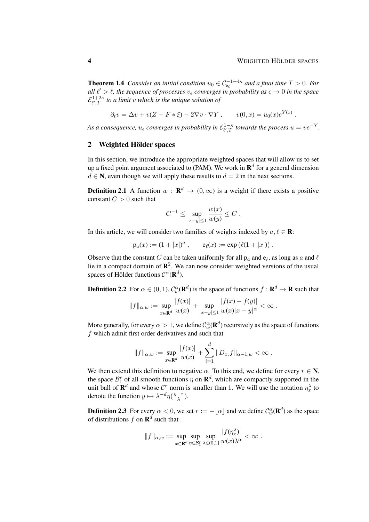**Theorem 1.4** *Consider an initial condition*  $u_0 \in C_{e_\ell}^{-1+4\kappa}$  *and a final time*  $T > 0$ *. For all*  $\ell' > \ell$ , the sequence of processes  $v_{\epsilon}$  converges in probability as  $\epsilon \to 0$  in the space  $\mathcal{E}_{\ell' T}^{1+2\kappa}$  $\int_{\ell',T}^{1+2\kappa}$  to a limit v which is the unique solution of

$$
\partial_t v = \Delta v + v(Z - F * \xi) - 2\nabla v \cdot \nabla Y, \qquad v(0, x) = u_0(x)e^{Y(x)}.
$$

As a consequence,  $u_\epsilon$  converges in probability in  $\mathcal{E}_{\ell',T}^{1-\kappa}$  $^{1-\kappa}_{l',T}$  towards the process  $u = v e^{-Y}$ .

#### <span id="page-3-0"></span>2 Weighted Hölder spaces

In this section, we introduce the appropriate weighted spaces that will allow us to set up a fixed point argument associated to [\(PAM\)](#page-0-0). We work in  $\mathbf{R}^{d}$  for a general dimension  $d \in \mathbb{N}$ , even though we will apply these results to  $d = 2$  in the next sections.

**Definition 2.1** A function  $w : \mathbf{R}^d \to (0, \infty)$  is a weight if there exists a positive constant  $C > 0$  such that

$$
C^{-1} \le \sup_{|x-y| \le 1} \frac{w(x)}{w(y)} \le C.
$$

In this article, we will consider two families of weights indexed by  $a, \ell \in \mathbb{R}$ :

$$
p_a(x) := (1+|x|)^a
$$
,  $e_{\ell}(x) := \exp(\ell(1+|x|))$ .

Observe that the constant C can be taken uniformly for all  $p_a$  and  $e_\ell$ , as long as a and  $\ell$ lie in a compact domain of  $\mathbb{R}^2$ . We can now consider weighted versions of the usual spaces of Hölder functions  $\mathcal{C}^{\alpha}(\mathbf{R}^d)$ .

**Definition 2.2** For  $\alpha \in (0,1)$ ,  $\mathcal{C}_w^{\alpha}(\mathbf{R}^d)$  is the space of functions  $f : \mathbf{R}^d \to \mathbf{R}$  such that

$$
||f||_{\alpha,w} := \sup_{x \in \mathbf{R}^d} \frac{|f(x)|}{w(x)} + \sup_{|x-y| \le 1} \frac{|f(x) - f(y)|}{w(x)|x - y|^{\alpha}} < \infty.
$$

More generally, for every  $\alpha > 1$ , we define  $\mathcal{C}^\alpha_w(\mathbf{R}^d)$  recursively as the space of functions f which admit first order derivatives and such that

$$
||f||_{\alpha,w} := \sup_{x \in \mathbf{R}^d} \frac{|f(x)|}{w(x)} + \sum_{i=1}^d ||D_{x_i}f||_{\alpha-1,w} < \infty.
$$

We then extend this definition to negative  $\alpha$ . To this end, we define for every  $r \in \mathbb{N}$ , the space  $\mathcal{B}_1^r$  of all smooth functions  $\eta$  on  $\mathbf{R}^d$ , which are compactly supported in the unit ball of  $\mathbf{R}^d$  and whose  $\mathcal{C}^r$  norm is smaller than 1. We will use the notation  $\eta_x^{\lambda}$  to denote the function  $y \mapsto \lambda^{-d} \eta \left( \frac{y-x}{\lambda} \right)$  $\frac{-x}{\lambda}$ ).

**Definition 2.3** For every  $\alpha < 0$ , we set  $r := -\lfloor \alpha \rfloor$  and we define  $\mathcal{C}^{\alpha}_{w}(\mathbf{R}^{d})$  as the space of distributions f on  $\mathbf{R}^d$  such that

$$
||f||_{\alpha,w} := \sup_{x \in \mathbf{R}^d} \sup_{\eta \in \mathcal{B}_1^r} \sup_{\lambda \in (0,1]} \frac{|f(\eta_x^{\lambda})|}{w(x)\lambda^{\alpha}} < \infty.
$$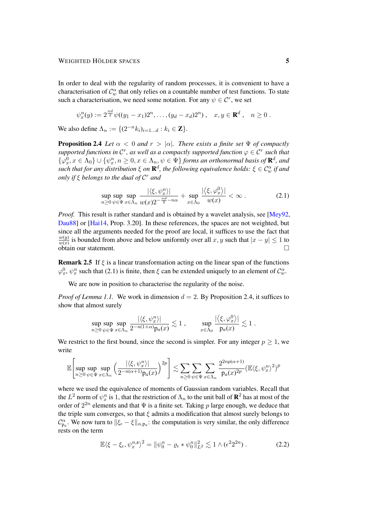In order to deal with the regularity of random processes, it is convenient to have a characterisation of  $\mathcal{C}_w^{\alpha}$  that only relies on a countable number of test functions. To state such a characterisation, we need some notation. For any  $\psi \in \mathcal{C}^r$ , we set

$$
\psi_x^n(y) := 2^{\frac{nd}{2}} \psi((y_1 - x_1)2^n, \dots, (y_d - x_d)2^n), \quad x, y \in \mathbf{R}^d, \quad n \ge 0.
$$

We also define  $\Lambda_n := \{ (2^{-n} k_i)_{i=1...d} : k_i \in \mathbb{Z} \}.$ 

**Proposition 2.4** *Let*  $\alpha < 0$  *and*  $r > |\alpha|$ *. There exists a finite set*  $\Psi$  *of compactly supported functions in*  $\mathcal{C}^r$ *, as well as a compactly supported function*  $\varphi \in \mathcal{C}^r$  *such that*  $\{\varphi^0_x, x \in \Lambda_0\} \cup \{\psi^n_x, n \geq 0, x \in \Lambda_n, \psi \in \Psi\}$  *forms an orthonormal basis of*  $\mathbf{R}^d$ *, and*  $s$ uch that for any distribution  $\xi$  on  $\mathbf{R}^d$ , the following equivalence holds:  $\xi\in\mathcal{C}^\alpha_w$  if and *only if* ξ *belongs to the dual of* C <sup>r</sup> *and*

<span id="page-4-2"></span><span id="page-4-1"></span>
$$
\sup_{n\geq 0}\sup_{\psi\in\Psi}\sup_{x\in\Lambda_n}\frac{|\langle\xi,\psi^n_x\rangle|}{w(x)2^{-\frac{n^d}{2}-n\alpha}}+\sup_{x\in\Lambda_0}\frac{|\langle\xi,\varphi^n_x\rangle|}{w(x)}<\infty.
$$
\n(2.1)

*Proof.* This result is rather standard and is obtained by a wavelet analysis, see [\[Mey92,](#page-11-8) [Dau88\]](#page-11-9) or [\[Hai14,](#page-11-5) Prop. 3.20]. In these references, the spaces are not weighted, but since all the arguments needed for the proof are local, it suffices to use the fact that  $w(y)$  $\frac{w(y)}{w(x)}$  is bounded from above and below uniformly over all x, y such that  $|x - y| \le 1$  to  $\overline{\text{obtain}}$  our statement.

<span id="page-4-0"></span>**Remark 2.5** If  $\xi$  is a linear transformation acting on the linear span of the functions  $\varphi_x^0, \psi_x^n$  such that [\(2.1\)](#page-4-1) is finite, then  $\xi$  can be extended uniquely to an element of  $\mathcal{C}_w^{\alpha}$ .

We are now in position to characterise the regularity of the noise.

*Proof of Lemma [1.1.](#page-1-0)* We work in dimension  $d = 2$ . By Proposition [2.4,](#page-4-2) it suffices to show that almost surely

$$
\sup_{n\geq 0}\sup_{\psi\in\Psi}\sup_{x\in\Lambda_n}\frac{|\langle \xi,\psi^n_x\rangle|}{2^{-n(1+\alpha)}\mathrm{p}_a(x)}\lesssim 1\;,\qquad \sup_{x\in\Lambda_0}\frac{|\langle \xi,\varphi^0_x\rangle|}{\mathrm{p}_a(x)}\lesssim 1\;.
$$

We restrict to the first bound, since the second is simpler. For any integer  $p \ge 1$ , we write

$$
\mathbb{E}\left[\sup_{n\geq 0}\sup_{\psi\in\Psi}\sup_{x\in\Lambda_n}\left(\frac{|\langle\xi,\psi^n_x\rangle|}{2^{-n(\alpha+1)}p_a(x)}\right)^{2p}\right] \lesssim \sum_{n\geq 0}\sum_{\psi\in\Psi}\sum_{x\in\Lambda_n}\frac{2^{2np(\alpha+1)}}{p_a(x)^{2p}}(\mathbb{E}\langle\xi,\psi^n_x\rangle^2)^p
$$

where we used the equivalence of moments of Gaussian random variables. Recall that the  $L^2$  norm of  $\psi_x^n$  is 1, that the restriction of  $\Lambda_n$  to the unit ball of  $\mathbf{R}^2$  has at most of the order of  $2^{2n}$  elements and that  $\Psi$  is a finite set. Taking p large enough, we deduce that the triple sum converges, so that  $\xi$  admits a modification that almost surely belongs to  $\mathcal{C}_{\mathbf{p}_a}^{\alpha}$ . We now turn to  $\|\xi_{\epsilon}-\xi\|_{\alpha,\mathbf{p}_a}$ : the computation is very similar, the only difference rests on the term

$$
\mathbb{E}\langle \xi - \xi_{\epsilon}, \psi_x^{n,\mathfrak{s}} \rangle^2 = \|\psi_0^n - \varrho_{\epsilon} * \psi_0^n\|_{L^2}^2 \lesssim 1 \wedge (\epsilon^2 2^{2n}). \tag{2.2}
$$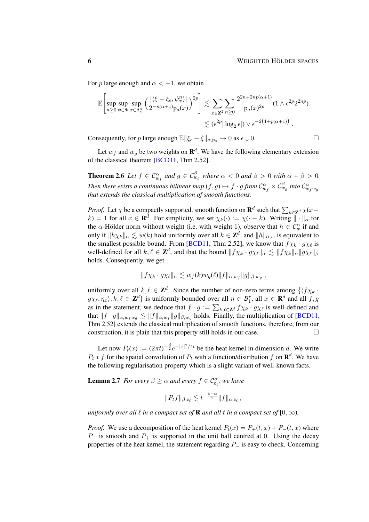For p large enough and  $\alpha < -1$ , we obtain

$$
\mathbb{E}\left[\sup_{n\geq 0}\sup_{\psi\in\Psi}\sup_{x\in\Lambda_n^{\mathfrak{s}}}\left(\frac{|\langle\xi-\xi_{\epsilon},\psi^n_x\rangle|}{2^{-n(\alpha+1)}\mathfrak{p}_a(x)}\right)^{2p}\right] \lesssim \sum_{x\in\mathbf{Z}^2}\sum_{n\geq 0}\frac{2^{2n+2np(\alpha+1)}}{\mathfrak{p}_a(x)^{2p}}(1\wedge\epsilon^{2p}2^{2np})\leq (\epsilon^{2p}|\log_2\epsilon|)\vee\epsilon^{-2\left(1+p(\alpha+1)\right)}.
$$

Consequently, for p large enough  $\mathbb{E} \|\xi_{\epsilon} - \xi\|_{\alpha, \mathbf{p}_\alpha} \to 0$  as  $\epsilon \downarrow 0$ .

<span id="page-5-0"></span>Let  $w_f$  and  $w_g$  be two weights on  $\mathbf{R}^d$ . We have the following elementary extension of the classical theorem [\[BCD11,](#page-10-0) Thm 2.52].

**Theorem 2.6** Let  $f \in \mathcal{C}^{\alpha}_{w_f}$  and  $g \in \mathcal{C}^{\beta}_{w_g}$  where  $\alpha < 0$  and  $\beta > 0$  with  $\alpha + \beta > 0$ . Then there exists a continuous bilinear map  $(f,g)\mapsto f\cdot g$  from  $\mathcal{C}^\alpha_{w_f}\times\mathcal{C}^\beta_{w_g}$  into  $\mathcal{C}^\alpha_{w_fw_g}$ *that extends the classical multiplication of smooth functions.*

*Proof.* Let  $\chi$  be a compactly supported, smooth function on  $\mathbf{R}^d$  such that  $\sum_{k \in \mathbf{Z}^d} \chi(x - k)$  $k) = 1$  for all  $x \in \mathbf{R}^d$ . For simplicity, we set  $\chi_k(\cdot) := \chi(\cdot - k)$ . Writing  $\|\cdot\|_{\alpha}$  for the  $\alpha$ -Hölder norm without weight (i.e. with weight 1), observe that  $h \in C_w^{\alpha}$  if and only if  $\|h\chi_k\|_{\alpha} \lesssim w(k)$  hold uniformly over all  $k \in \mathbb{Z}^d$ , and  $\|h\|_{\alpha,w}$  is equivalent to the smallest possible bound. From [\[BCD11,](#page-10-0) Thm 2.52], we know that  $f\chi_k \cdot g\chi_\ell$  is well-defined for all  $k, \ell \in \mathbb{Z}^d$ , and that the bound  $||f \chi_k \cdot g \chi_\ell||_\alpha \lesssim ||f \chi_k||_\alpha ||g \chi_\ell||_\beta$ holds. Consequently, we get

$$
||f\chi_k \cdot g\chi_\ell||_\alpha \lesssim w_f(k)w_g(\ell) ||f||_{\alpha,w_f} ||g||_{\beta,w_g},
$$

uniformly over all  $k, \ell \in \mathbb{Z}^d$ . Since the number of non-zero terms among  $\{\langle f \chi_k \cdot \rangle\}$  $g\chi_{\ell}, \eta_x\rangle, k, \ell \in \mathbb{Z}^d$  is uniformly bounded over all  $\eta \in \mathcal{B}_1^r$ , all  $x \in \mathbb{R}^d$  and all  $f, g$ as in the statement, we deduce that  $f \cdot g := \sum_{k,\ell \in \mathbb{Z}^d} f \chi_k \cdot g \chi_\ell$  is well-defined and that  $||f \cdot g||_{\alpha,w_f w_g} \lesssim ||f||_{\alpha,w_f} ||g||_{\beta,w_g}$  holds. Finally, the multiplication of [\[BCD11,](#page-10-0) Thm 2.52] extends the classical multiplication of smooth functions, therefore, from our construction, it is plain that this property still holds in our case.  $\Box$ 

Let now  $P_t(x) := (2\pi t)^{-\frac{d}{2}} e^{-|x|^2/4t}$  be the heat kernel in dimension d. We write  $P_t * f$  for the spatial convolution of  $P_t$  with a function/distribution f on  $\mathbf{R}^d$ . We have the following regularisation property which is a slight variant of well-known facts.

**Lemma 2.7** *For every*  $\beta \geq \alpha$  *and every*  $f \in C_{e_{\ell}}^{\alpha}$ *, we have* 

<span id="page-5-1"></span>
$$
||P_t f||_{\beta, e_\ell} \lesssim t^{-\frac{\beta-\alpha}{2}} ||f||_{\alpha, e_\ell},
$$

*uniformly over all*  $\ell$  *in a compact set of* **R** *and all*  $t$  *in a compact set of*  $[0, \infty)$ *.* 

*Proof.* We use a decomposition of the heat kernel  $P_t(x) = P_+(t, x) + P_-(t, x)$  where  $P_-\$  is smooth and  $P_+\$  is supported in the unit ball centred at 0. Using the decay properties of the heat kernel, the statement regarding  $P_$  is easy to check. Concerning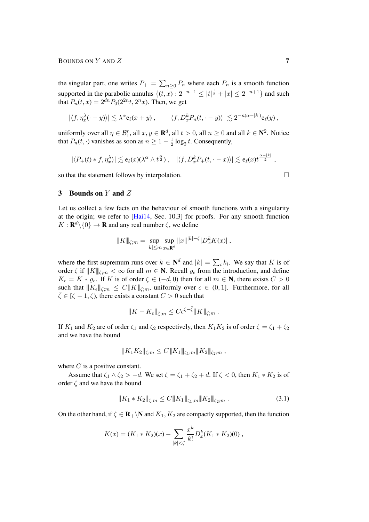the singular part, one writes  $P_+ = \sum_{n\geq 0} P_n$  where each  $P_n$  is a smooth function supported in the parabolic annulus  $\{(t, x): 2^{-n-1} \leq |t|^{\frac{1}{2}} + |x| \leq 2^{-n+1}\}\$  and such that  $P_n(t, x) = 2^{dn} P_0(2^{2n} t, 2^n x)$ . Then, we get

$$
|\langle f, \eta_x^{\lambda}(\cdot - y) \rangle| \lesssim \lambda^{\alpha} e_{\ell}(x + y), \qquad |\langle f, D_x^k P_n(t, \cdot - y) \rangle| \lesssim 2^{-n(\alpha - |k|)} e_{\ell}(y),
$$

uniformly over all  $\eta \in \mathcal{B}_1^r$ , all  $x, y \in \mathbf{R}^d$ , all  $t > 0$ , all  $n \ge 0$  and all  $k \in \mathbf{N}^2$ . Notice that  $P_n(t, \cdot)$  vanishes as soon as  $n \geq 1 - \frac{1}{2}$  $\frac{1}{2} \log_2 t$ . Consequently,

$$
|\langle P_+(t) * f, \eta_x^{\lambda} \rangle| \lesssim e_{\ell}(x) (\lambda^{\alpha} \wedge t^{\frac{\alpha}{2}}), \quad |\langle f, D_x^k P_+(t, \cdot - x) \rangle| \lesssim e_{\ell}(x) t^{\frac{\alpha - |k|}{2}},
$$

so that the statement follows by interpolation.

## 3 Bounds on Y and Z

Let us collect a few facts on the behaviour of smooth functions with a singularity at the origin; we refer to [\[Hai14,](#page-11-5) Sec. 10.3] for proofs. For any smooth function  $K: \mathbf{R}^d \backslash \{0\} \to \mathbf{R}$  and any real number  $\zeta$ , we define

$$
|| K ||_{\zeta;m} = \sup_{|k| \le m} \sup_{x \in \mathbf{R}^d} ||x||^{|k|-\zeta} |D_x^k K(x)|,
$$

where the first supremum runs over  $k \in \mathbb{N}^d$  and  $|k| = \sum_i k_i$ . We say that K is of order  $\zeta$  if  $||K||_{\zeta;m} < \infty$  for all  $m \in \mathbb{N}$ . Recall  $\varrho_{\epsilon}$  from the introduction, and define  $K_{\epsilon} = K * \varrho_{\epsilon}$ . If K is of order  $\zeta \in (-d, 0)$  then for all  $m \in \mathbb{N}$ , there exists  $C > 0$ such that  $||K_{\epsilon}||_{\zeta;m} \leq C||K||_{\zeta;m}$ , uniformly over  $\epsilon \in (0,1]$ . Furthermore, for all  $\overline{\zeta} \in [\zeta - 1, \zeta)$ , there exists a constant  $C > 0$  such that

$$
|\!|\!| K - K_{\epsilon} |\!|\!|_{\bar{\zeta};m} \leq C \epsilon^{\zeta-\bar{\zeta}} |\!|\!| K |\!|\!|_{\zeta;m}.
$$

If  $K_1$  and  $K_2$  are of order  $\zeta_1$  and  $\zeta_2$  respectively, then  $K_1K_2$  is of order  $\zeta = \zeta_1 + \zeta_2$ and we have the bound

$$
|| K_1 K_2 ||_{\zeta;m} \leq C || K_1 ||_{\zeta_1;m} || K_2 ||_{\zeta_2;m},
$$

where  $C$  is a positive constant.

Assume that  $\zeta_1 \wedge \zeta_2 > -d$ . We set  $\zeta = \zeta_1 + \zeta_2 + d$ . If  $\zeta < 0$ , then  $K_1 * K_2$  is of order  $\zeta$  and we have the bound

<span id="page-6-0"></span>
$$
|| K_1 * K_2 ||_{\zeta; m} \le C || K_1 ||_{\zeta_1; m} || K_2 ||_{\zeta_2; m} . \tag{3.1}
$$

On the other hand, if  $\zeta \in \mathbf{R}_+ \backslash \mathbf{N}$  and  $K_1, K_2$  are compactly supported, then the function

$$
K(x) = (K_1 * K_2)(x) - \sum_{|k| < \zeta} \frac{x^k}{k!} D_x^k(K_1 * K_2)(0) \,,
$$

$$
\Box
$$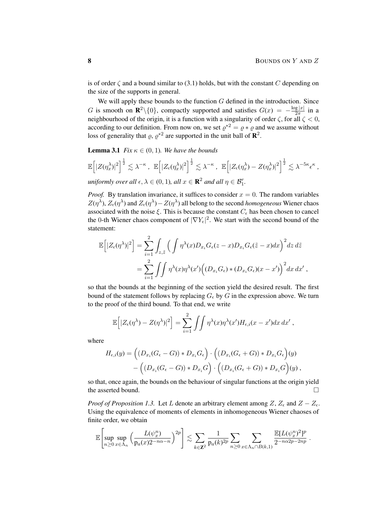is of order  $\zeta$  and a bound similar to [\(3.1\)](#page-6-0) holds, but with the constant C depending on the size of the supports in general.

We will apply these bounds to the function  $G$  defined in the introduction. Since G is smooth on  $\mathbb{R}^2 \setminus \{0\}$ , compactly supported and satisfies  $G(x) = -\frac{\log |x|}{2\pi}$  $rac{2\pi}{2\pi}$  in a neighbourhood of the origin, it is a function with a singularity of order  $\zeta$ , for all  $\zeta < 0$ , according to our definition. From now on, we set  $\varrho^{*2} = \varrho * \varrho$  and we assume without loss of generality that  $\varrho$ ,  $\varrho^{*2}$  are supported in the unit ball of  $\mathbb{R}^2$ .

<span id="page-7-0"></span>**Lemma 3.1** *Fix*  $\kappa \in (0, 1)$ *. We have the bounds* 

$$
\mathbb{E}\left[|Z(\eta_x^{\lambda})|^2\right]^{\frac{1}{2}} \lesssim \lambda^{-\kappa}, \quad \mathbb{E}\left[|Z_{\epsilon}(\eta_x^{\lambda})|^2\right]^{\frac{1}{2}} \lesssim \lambda^{-\kappa}, \quad \mathbb{E}\left[|Z_{\epsilon}(\eta_x^{\lambda}) - Z(\eta_x^{\lambda})|^2\right]^{\frac{1}{2}} \lesssim \lambda^{-5\kappa} \epsilon^{\kappa},
$$

*uniformly over all*  $\epsilon, \lambda \in (0, 1)$ *, all*  $x \in \mathbb{R}^2$  *and all*  $\eta \in \mathcal{B}_1^r$ *.* 

*Proof.* By translation invariance, it suffices to consider  $x = 0$ . The random variables  $Z(\eta^{\lambda})$ ,  $Z_{\epsilon}(\eta^{\lambda})$  and  $Z_{\epsilon}(\eta^{\lambda}) - Z(\eta^{\lambda})$  all belong to the second *homogeneous* Wiener chaos associated with the noise  $\xi$ . This is because the constant  $C_{\epsilon}$  has been chosen to cancel the 0-th Wiener chaos component of  $|\nabla Y_{\epsilon}|^2$ . We start with the second bound of the statement:

$$
\mathbb{E}\Big[|Z_{\epsilon}(\eta^{\lambda})|^2\Big] = \sum_{i=1}^{2} \int_{z,\tilde{z}} \Big(\int \eta^{\lambda}(x)D_{x_i}G_{\epsilon}(z-x)D_{x_i}G_{\epsilon}(\tilde{z}-x)dx\Big)^2 dz d\tilde{z}
$$
  

$$
= \sum_{i=1}^{2} \int \int \eta^{\lambda}(x)\eta^{\lambda}(x') \Big((D_{x_i}G_{\epsilon}) * (D_{x_i}G_{\epsilon})(x-x')\Big)^2 dx dx',
$$

so that the bounds at the beginning of the section yield the desired result. The first bound of the statement follows by replacing  $G_{\epsilon}$  by G in the expression above. We turn to the proof of the third bound. To that end, we write

$$
\mathbb{E}\left[|Z_{\epsilon}(\eta^{\lambda}) - Z(\eta^{\lambda})|^2\right] = \sum_{i=1}^2 \iint \eta^{\lambda}(x)\eta^{\lambda}(x')H_{\epsilon,i}(x-x')dx dx',
$$

where

$$
H_{\epsilon,i}(y) = \left( (D_{x_i}(G_{\epsilon} - G)) * D_{x_i} G_{\epsilon} \right) \cdot \left( (D_{x_i}(G_{\epsilon} + G)) * D_{x_i} G_{\epsilon} \right)(y)
$$

$$
- \left( (D_{x_i}(G_{\epsilon} - G)) * D_{x_i} G \right) \cdot \left( (D_{x_i}(G_{\epsilon} + G)) * D_{x_i} G \right)(y),
$$

so that, once again, the bounds on the behaviour of singular functions at the origin yield the asserted bound.

*Proof of Proposition [1.3.](#page-2-0)* Let L denote an arbitrary element among  $Z$ ,  $Z_{\epsilon}$  and  $Z - Z_{\epsilon}$ . Using the equivalence of moments of elements in inhomogeneous Wiener chaoses of finite order, we obtain

$$
\mathbb{E}\left[\sup_{n\geq 0}\sup_{x\in\Lambda_n}\left(\frac{L(\psi^n_x)}{p_a(x)2^{-n\alpha-n}}\right)^{2p}\right] \lesssim \sum_{k\in\mathbb{Z}^2} \frac{1}{p_a(k)^{2p}} \sum_{n\geq 0} \sum_{x\in\Lambda_n\cap B(k,1)} \frac{\mathbb{E}[L(\psi^n_x)^2]^p}{2^{-n\alpha 2p-2np}}.
$$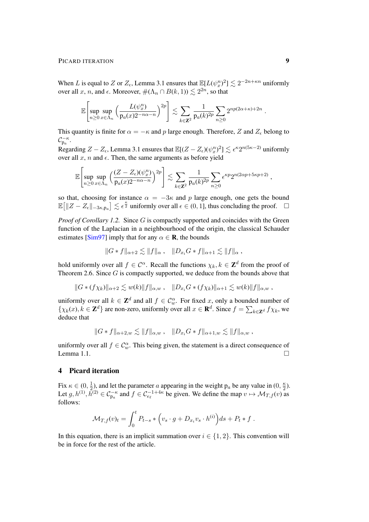#### PICARD ITERATION 9

When L is equal to Z or  $Z_{\epsilon}$ , Lemma [3.1](#page-7-0) ensures that  $\mathbb{E}[L(\psi^n_x)^2] \lesssim 2^{-2n+\kappa n}$  uniformly over all x, n, and  $\epsilon$ . Moreover,  $\#(\Lambda_n \cap B(k, 1)) \lesssim 2^{2n}$ , so that

$$
\mathbb{E}\left[\sup_{n\geq 0}\sup_{x\in\Lambda_n}\left(\frac{L(\psi^n_x)}{p_a(x)2^{-n\alpha-n}}\right)^{2p}\right] \lesssim \sum_{k\in\mathbf{Z}^2}\frac{1}{p_a(k)^{2p}}\sum_{n\geq 0}2^{np(2\alpha+\kappa)+2n}.
$$

This quantity is finite for  $\alpha = -\kappa$  and p large enough. Therefore, Z and  $Z_{\epsilon}$  belong to  $\mathcal{C}_{\mathrm{p}_a}^{-\kappa}$ .

Regarding  $Z - Z_{\epsilon}$ , Lemma [3.1](#page-7-0) ensures that  $\mathbb{E}[(Z - Z_{\epsilon})(\psi_x^n)^2] \lesssim \epsilon^{\kappa} 2^{n(5\kappa - 2)}$  uniformly over all  $x$ ,  $n$  and  $\epsilon$ . Then, the same arguments as before yield

$$
\mathbb{E}\left[\sup_{n\geq 0}\sup_{x\in\Lambda_n}\left(\frac{(Z-Z_\epsilon)(\psi^n_x)}{{\mathsf{p}}_a(x)2^{-n\alpha-n}}\right)^{2p}\right] \lesssim \sum_{k\in\mathbf{Z}^2} \frac{1}{{\mathsf{p}}_a(k)^{2p}} \sum_{n\geq 0} \epsilon^{\kappa p} 2^{n(2\alpha p + 5\kappa p + 2)} ,
$$

so that, choosing for instance  $\alpha = -3\kappa$  and p large enough, one gets the bound  $\mathbb{E} \big[ \| Z - Z_{\epsilon} \|_{-3\kappa, p_a} \big] \lesssim \epsilon^{\frac{\kappa}{2}}$  uniformly over all  $\epsilon \in (0, 1]$ , thus concluding the proof.  $\Box$ 

*Proof of Corollary [1.2.](#page-2-1)* Since G is compactly supported and coincides with the Green function of the Laplacian in a neighbourhood of the origin, the classical Schauder estimates [\[Sim97\]](#page-11-10) imply that for any  $\alpha \in \mathbf{R}$ , the bounds

$$
||G*f||_{\alpha+2} \lesssim ||f||_{\alpha}, \quad ||D_{x_i}G*f||_{\alpha+1} \lesssim ||f||_{\alpha},
$$

hold uniformly over all  $f \in \mathcal{C}^{\alpha}$ . Recall the functions  $\chi_k, k \in \mathbb{Z}^d$  from the proof of Theorem [2.6.](#page-5-0) Since G is compactly supported, we deduce from the bounds above that

$$
||G*(f\chi_k)||_{\alpha+2} \lesssim w(k)||f||_{\alpha,w}, \quad ||D_{x_i}G*(f\chi_k)||_{\alpha+1} \lesssim w(k)||f||_{\alpha,w},
$$

uniformly over all  $k \in \mathbb{Z}^d$  and all  $f \in \mathcal{C}^\alpha_w$ . For fixed x, only a bounded number of  $\{\chi_k(x), k \in \mathbb{Z}^d\}$  are non-zero, uniformly over all  $x \in \mathbb{R}^d$ . Since  $f = \sum_{k \in \mathbb{Z}^d} f\chi_k$ , we deduce that

$$
||G*f||_{\alpha+2,w} \lesssim ||f||_{\alpha,w} , \quad ||D_{x_i}G*f||_{\alpha+1,w} \lesssim ||f||_{\alpha,w} ,
$$

uniformly over all  $f \in \mathcal{C}_w^{\alpha}$ . This being given, the statement is a direct consequence of Lemma [1.1.](#page-1-0)

# 4 Picard iteration

Fix  $\kappa \in (0, \frac{1}{2})$  $\frac{1}{2}$ ), and let the parameter *a* appearing in the weight p<sub>a</sub> be any value in (0,  $\frac{\kappa}{2}$ )  $\frac{\kappa}{2}$ ). Let  $g, h^{(1)}, \bar{h}^{(2)} \in C_{p_a}^{-\kappa}$  and  $f \in C_{e_\ell}^{-1+4\kappa}$  be given. We define the map  $v \mapsto \mathcal{M}_{T,f}(v)$  as follows:

$$
\mathcal{M}_{T,f}(v)_t = \int_0^t P_{t-s} * \left(v_s \cdot g + D_{x_i} v_s \cdot h^{(i)}\right) ds + P_t * f.
$$

<span id="page-8-0"></span>In this equation, there is an implicit summation over  $i \in \{1, 2\}$ . This convention will be in force for the rest of the article.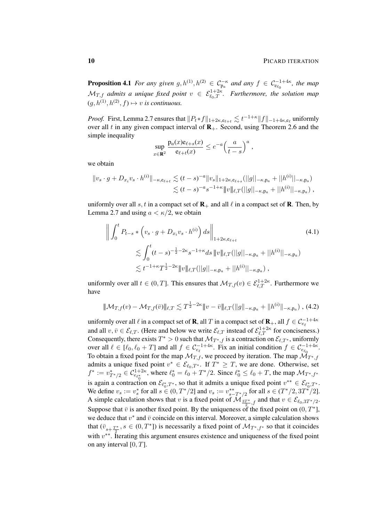**Proposition 4.1** *For any given*  $g, h^{(1)}, h^{(2)} \in C_{p_a}^{-\kappa}$  *and any*  $f \in C_{e_{\ell_0}}^{-1+4\kappa}$ *, the map*  $\mathcal{M}_{T,f}$  admits a unique fixed point  $v \in \mathcal{E}_{\ell_0,T}^{1+2\kappa}$ . Furthermore, the solution map  $(g, h^{(1)}, h^{(2)}, f) \mapsto v$  *is continuous.* 

*Proof.* First, Lemma [2.7](#page-5-1) ensures that  $||P_t*f||_{1+2\kappa,\mathsf{e}_{\ell+t}} \lesssim t^{-1+\kappa}||f||_{-1+4\kappa,\mathsf{e}_\ell}$  uniformly over all t in any given compact interval of  $\mathbf{R}_{+}$ . Second, using Theorem [2.6](#page-5-0) and the simple inequality

<span id="page-9-0"></span>
$$
\sup_{x \in \mathbf{R}^2} \frac{\text{p}_a(x)\text{e}_{\ell+s}(x)}{\text{e}_{\ell+t}(x)} \le e^{-a} \left(\frac{a}{t-s}\right)^a,
$$

we obtain

$$
||v_s \cdot g + D_{x_i} v_s \cdot h^{(i)}||_{-\kappa, e_{\ell+t}} \lesssim (t-s)^{-a} ||v_s||_{1+2\kappa, e_{\ell+s}} (||g||_{-\kappa, p_a} + ||h^{(i)}||_{-\kappa, p_a})
$$
  

$$
\lesssim (t-s)^{-a} s^{-1+\kappa} ||v||_{\ell,T} (||g||_{-\kappa, p_a} + ||h^{(i)}||_{-\kappa, p_a}),
$$

uniformly over all s, t in a compact set of  $\mathbf{R}_+$  and all  $\ell$  in a compact set of  $\mathbf{R}$ . Then, by Lemma [2.7](#page-5-1) and using  $a < \kappa/2$ , we obtain

$$
\left\| \int_{0}^{t} P_{t-s} * \left( v_s \cdot g + D_{x_i} v_s \cdot h^{(i)} \right) ds \right\|_{1+2\kappa, e_{\ell+t}} \leq \int_{0}^{t} (t-s)^{-\frac{1}{2}-2\kappa} s^{-1+\kappa} ds \, \|v\|_{\ell,T} (||g||_{-\kappa, p_a} + ||h^{(i)}||_{-\kappa, p_a}) \n\lesssim t^{-1+\kappa} T^{\frac{1}{2}-2\kappa} \|v\|_{\ell,T} (||g||_{-\kappa, p_a} + ||h^{(i)}||_{-\kappa, p_a}),
$$
\n(4.1)

uniformly over all  $t \in (0, T]$ . This ensures that  $\mathcal{M}_{T, f}(v) \in \mathcal{E}^{1+2\kappa}_{\ell, T}$ . Furthermore we have

<span id="page-9-1"></span>
$$
\|\mathcal{M}_{T,f}(v) - \mathcal{M}_{T,f}(\bar{v})\|_{\ell,T} \lesssim T^{\frac{1}{2}-2\kappa} \|v - \bar{v}\|_{\ell,T} (\|g\|_{-\kappa,p_a} + \|h^{(i)}\|_{-\kappa,p_a}),
$$
(4.2)

uniformly over all  $\ell$  in a compact set of **R**, all  $T$  in a compact set of  $\mathbf{R}_+$ , all  $f \in \mathcal{C}_{e_\ell}^{-1+4\kappa}$ and all  $v, \bar{v} \in \mathcal{E}_{\ell,T}$ . (Here and below we write  $\mathcal{E}_{\ell,T}$  instead of  $\mathcal{E}_{\ell,T}^{1+2\kappa}$  for conciseness.) Consequently, there exists  $T^* > 0$  such that  $\mathcal{M}_{T^*,f}$  is a contraction on  $\mathcal{E}_{\ell,T^*}$ , uniformly over all  $\ell \in [\ell_0, \ell_0 + T]$  and all  $f \in C_{e_\ell}^{-1+4\kappa}$ . Fix an initial condition  $f \in C_{e_{\ell_0}}^{-1+4\kappa}$ . To obtain a fixed point for the map  $\mathcal{M}_{T,f}$ , we proceed by iteration. The map  $\mathcal{M}_{T^*,f}$ admits a unique fixed point  $v^* \in \mathcal{E}_{\ell_0,T^*}$ . If  $T^* \geq T$ , we are done. Otherwise, set  $f^* := v^*_{T^*/2} \in C^{1+2\kappa}_{e_{\ell^*}}$ , where  $\ell^*_0 = \ell_0 + T^*/2$ . Since  $\ell^*_0 \le \ell_0 + T$ , the map  $\mathcal{M}_{T^*,f^*}$ is again a contraction on  $\mathcal{E}_{\ell_0^*,T^*}$ , so that it admits a unique fixed point  $v^{**} \in \mathcal{E}_{\ell_0^*,T^*}$ . We define  $v_s := v_s^*$  for all  $s \in (0, T^*/2]$  and  $v_s := v_{s-T^*/2}^{**}$  for all  $s \in (T^*/2, 3T^*/2]$ . A simple calculation shows that v is a fixed point of  $\mathcal{M}_{\frac{3T^*}{2},f}$  and that  $v \in \mathcal{E}_{\ell_0,3T^*/2}$ . Suppose that  $\bar{v}$  is another fixed point. By the uniqueness of the fixed point on  $(0, T^*)$ , we deduce that  $v^*$  and  $\bar{v}$  coincide on this interval. Moreover, a simple calculation shows that  $(\bar{v}_{s+\frac{T^*}{2}}, s \in (0,T^*])$  is necessarily a fixed point of  $\mathcal{M}_{T^*,f^*}$  so that it coincides with  $v^{**}$ . Iterating this argument ensures existence and uniqueness of the fixed point on any interval  $[0, T]$ .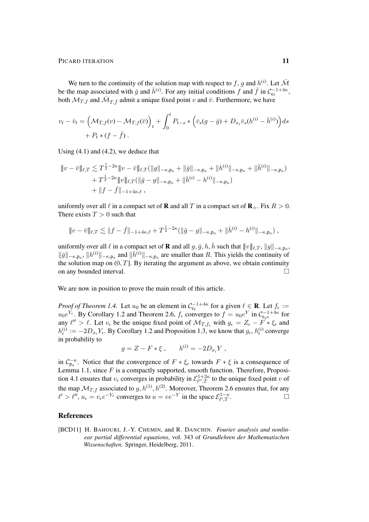We turn to the continuity of the solution map with respect to f, g and  $h^{(i)}$ . Let  $\bar{\mathcal{M}}$ be the map associated with  $\bar{g}$  and  $\bar{h}^{(i)}$ . For any initial conditions f and  $\bar{f}$  in  $C_{e_\ell}^{-1+4\kappa}$ , both  $\mathcal{M}_{T,\bar{f}}$  and  $\bar{\mathcal{M}}_{T,\bar{f}}$  admit a unique fixed point v and  $\bar{v}$ . Furthermore, we have

$$
v_t - \bar{v}_t = \left(\mathcal{M}_{T,f}(v) - \mathcal{M}_{T,f}(\bar{v})\right)_t + \int_0^t P_{t-s} * \left(\bar{v}_s(g-\bar{g}) + D_{x_i}\bar{v}_s(h^{(i)} - \bar{h}^{(i)})\right) ds
$$
  
+  $P_t * (f - \bar{f}).$ 

Using  $(4.1)$  and  $(4.2)$ , we deduce that

$$
\|v - \bar{v}\|_{\ell,T} \lesssim T^{\frac{1}{2} - 2\kappa} \|v - \bar{v}\|_{\ell,T} (\|g\|_{-\kappa,p_a} + \|\bar{g}\|_{-\kappa,p_a} + \|h^{(i)}\|_{-\kappa,p_a} + \|\bar{h}^{(i)}\|_{-\kappa,p_a}) + T^{\frac{1}{2} - 2\kappa} \|v\|_{\ell,T} (\|\bar{g} - g\|_{-\kappa,p_a} + \|\bar{h}^{(i)} - h^{(i)}\|_{-\kappa,p_a}) + \|f - \bar{f}\|_{-1+4\kappa,\ell},
$$

uniformly over all  $\ell$  in a compact set of **R** and all T in a compact set of **R**<sub>+</sub>. Fix  $R > 0$ . There exists  $T > 0$  such that

$$
\|v - \bar{v}\|_{\ell,T} \lesssim \|f - \bar{f}\|_{-1+4\kappa,\ell} + T^{\frac{1}{2}-2\kappa}(\|\bar{g} - g\|_{-\kappa,p_a} + \|\bar{h}^{(i)} - h^{(i)}\|_{-\kappa,p_a}),
$$

uniformly over all  $\ell$  in a compact set of **R** and all  $g, \bar{g}, h, \bar{h}$  such that  $|||v||_{\ell,T}, ||g||_{-\kappa,p_\alpha}$ ,  $\|\bar{g}\|_{-\kappa,p_{\alpha}}$ ,  $\|h^{(i)}\|_{-\kappa,p_{\alpha}}$  and  $\|\bar{h}^{(i)}\|_{-\kappa,p_{\alpha}}$  are smaller than R. This yields the continuity of the solution map on  $(0, T]$ . By iterating the argument as above, we obtain continuity on any bounded interval.

We are now in position to prove the main result of this article.

*Proof of Theorem [1.4.](#page-2-2)* Let  $u_0$  be an element in  $C_{e_\ell}^{-1+4\kappa}$  for a given  $\ell \in \mathbf{R}$ . Let  $f_\epsilon :=$  $u_0e^{Y_{\epsilon}}$ . By Corollary [1.2](#page-2-1) and Theorem [2.6,](#page-5-0)  $f_{\epsilon}$  converges to  $f = u_0e^{Y}$  in  $C_{e_{\ell'}}^{-1+4\kappa}$  for any  $\ell'' > \ell$ . Let  $v_{\epsilon}$  be the unique fixed point of  $\mathcal{M}_{T,f_{\epsilon}}$  with  $g_{\epsilon} = Z_{\epsilon} - F^* * \xi_{\epsilon}$  and  $h_{\epsilon}^{(i)} := -2D_{x_i}Y_{\epsilon}$ . By Corollary [1.2](#page-2-1) and Proposition [1.3,](#page-2-0) we know that  $g_{\epsilon}, h_{\epsilon}^{(i)}$  converge in probability to

$$
g = Z - F * \xi , \qquad h^{(i)} = -2D_{x_i}Y ,
$$

in  $C_{p_a}^{-\kappa}$ . Notice that the convergence of  $F * \xi_\epsilon$  towards  $F * \xi$  is a consequence of Lemma [1.1,](#page-1-0) since  $F$  is a compactly supported, smooth function. Therefore, Proposi-tion [4.1](#page-8-0) ensures that  $v_{\epsilon}$  converges in probability in  $\mathcal{E}_{\ell'',T}^{1+2\kappa}$  $\ell^{1+2\kappa}_{\ell'',T}$  to the unique fixed point v of the map  $\mathcal{M}_{T,f}$  associated to  $g, h^{(1)}, h^{(2)}$ . Moreover, Theorem [2.6](#page-5-0) ensures that, for any  $\ell' > \ell''$ ,  $u_{\epsilon} = v_{\epsilon} e^{-Y_{\epsilon}}$  converges to  $u = v e^{-Y}$  in the space  $\mathcal{E}_{\ell',T}^{1-\kappa}$  $\int_{\ell',T}^{1-\kappa}$ .

## References

<span id="page-10-0"></span>[BCD11] H. BAHOURI, J.-Y. CHEMIN, and R. DANCHIN. *Fourier analysis and nonlinear partial differential equations*, vol. 343 of *Grundlehren der Mathematischen Wissenschaften*. Springer, Heidelberg, 2011.